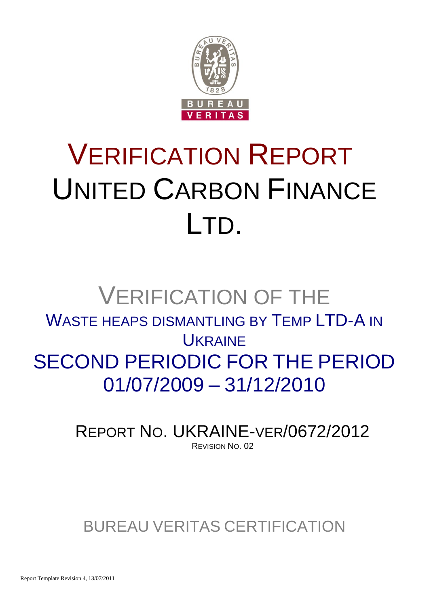

# VERIFICATION REPORT UNITED CARBON FINANCE LTD.

## VERIFICATION OF THE WASTE HEAPS DISMANTLING BY TEMP LTD-A IN **UKRAINE** SECOND PERIODIC FOR THE PERIOD 01/07/2009 – 31/12/2010

REPORT NO. UKRAINE-VER/0672/2012 REVISION NO. 02

### BUREAU VERITAS CERTIFICATION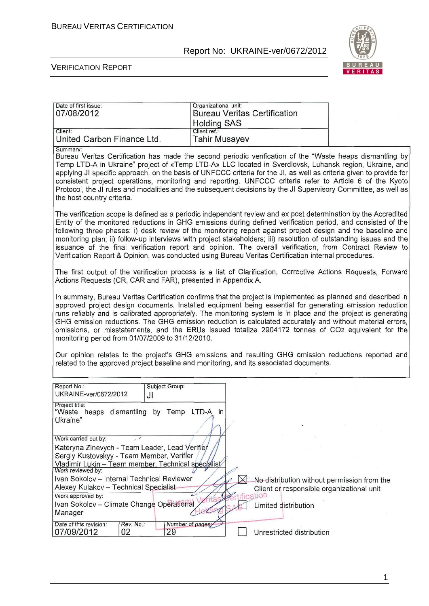

#### VERIFICATION REPORT

| Date of first issue:<br>07/08/2012                                                                                                                                                                                                                                                                                                                                                                                                                                                                                                                                                                                                                                                      | Organizational unit:<br><b>Bureau Veritas Certification</b><br><b>Holding SAS</b> |                                             |
|-----------------------------------------------------------------------------------------------------------------------------------------------------------------------------------------------------------------------------------------------------------------------------------------------------------------------------------------------------------------------------------------------------------------------------------------------------------------------------------------------------------------------------------------------------------------------------------------------------------------------------------------------------------------------------------------|-----------------------------------------------------------------------------------|---------------------------------------------|
| Client:<br>United Carbon Finance Ltd.                                                                                                                                                                                                                                                                                                                                                                                                                                                                                                                                                                                                                                                   | Client ref.:<br><b>Tahir Musayev</b>                                              |                                             |
| Summary:<br>Bureau Veritas Certification has made the second periodic verification of the "Waste heaps dismantling by<br>Temp LTD-A in Ukraine" project of «Temp LTD-A» LLC located in Sverdlovsk, Luhansk region, Ukraine, and<br>applying JI specific approach, on the basis of UNFCCC criteria for the JI, as well as criteria given to provide for<br>consistent project operations, monitoring and reporting. UNFCCC criteria refer to Article 6 of the Kyoto<br>Protocol, the JI rules and modalities and the subsequent decisions by the JI Supervisory Committee, as well as<br>the host country criteria.                                                                      |                                                                                   |                                             |
| The verification scope is defined as a periodic independent review and ex post determination by the Accredited<br>Entity of the monitored reductions in GHG emissions during defined verification period, and consisted of the<br>following three phases: i) desk review of the monitoring report against project design and the baseline and<br>monitoring plan; ii) follow-up interviews with project stakeholders; iii) resolution of outstanding issues and the<br>issuance of the final verification report and opinion. The overall verification, from Contract Review to<br>Verification Report & Opinion, was conducted using Bureau Veritas Certification internal procedures. |                                                                                   |                                             |
| The first output of the verification process is a list of Clarification, Corrective Actions Requests, Forward<br>Actions Requests (CR, CAR and FAR), presented in Appendix A.                                                                                                                                                                                                                                                                                                                                                                                                                                                                                                           |                                                                                   |                                             |
| In summary, Bureau Veritas Certification confirms that the project is implemented as planned and described in<br>approved project design documents. Installed equipment being essential for generating emission reduction<br>runs reliably and is calibrated appropriately. The monitoring system is in place and the project is generating<br>GHG emission reductions. The GHG emission reduction is calculated accurately and without material errors,<br>omissions, or misstatements, and the ERUs issued totalize 2904172 tonnes of CO2 equivalent for the<br>monitoring period from 01/07/2009 to 31/12/2010.                                                                      |                                                                                   |                                             |
| Our opinion relates to the project's GHG emissions and resulting GHG emission reductions reported and<br>related to the approved project baseline and monitoring, and its associated documents.                                                                                                                                                                                                                                                                                                                                                                                                                                                                                         |                                                                                   |                                             |
| Report No.:<br>Subject Group:<br>UKRAINE-ver/0672/2012<br>JI                                                                                                                                                                                                                                                                                                                                                                                                                                                                                                                                                                                                                            |                                                                                   |                                             |
| Project title:<br>"Waste heaps dismantling by Temp LTD-A in<br>Ukraine"                                                                                                                                                                                                                                                                                                                                                                                                                                                                                                                                                                                                                 |                                                                                   |                                             |
| Work carried out by:<br>Kateryna Zinevych - Team Leader, Lead Verifier<br>Sergiy Kustovskyy - Team Member, Verifier<br>Vladimir Lukin - Team member, Technical specialist                                                                                                                                                                                                                                                                                                                                                                                                                                                                                                               |                                                                                   |                                             |
| Work reviewed by:<br>Ivan Sokolov - Internal Technical Reviewer<br>Alexey Kulakov - Technical Specialist-<br>Work approved by:<br>Ivan Sokolov - Climate Change Operational<br>Manager                                                                                                                                                                                                                                                                                                                                                                                                                                                                                                  | Client or responsible organizational unit<br>cation<br>Limited distribution       | No distribution without permission from the |
| Date of this revision:<br>Rev. No.:<br>Number of pages;<br>29<br>02<br>07/09/2012                                                                                                                                                                                                                                                                                                                                                                                                                                                                                                                                                                                                       | Unrestricted distribution                                                         |                                             |

1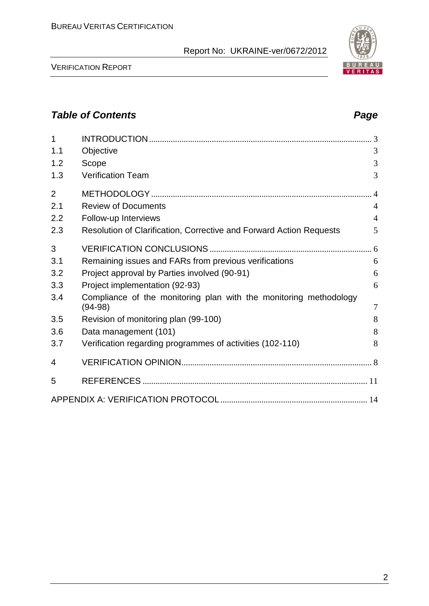VERIFICATION REPORT

| $\overline{1}$ |                                                                                |                |
|----------------|--------------------------------------------------------------------------------|----------------|
| 1.1            | Objective                                                                      | 3              |
| 1.2            | Scope                                                                          | 3              |
| 1.3            | <b>Verification Team</b>                                                       | 3              |
| $\overline{2}$ |                                                                                | $\overline{4}$ |
| 2.1            | <b>Review of Documents</b>                                                     | $\overline{4}$ |
| 2.2            | Follow-up Interviews                                                           | $\overline{4}$ |
| 2.3            | Resolution of Clarification, Corrective and Forward Action Requests            | 5              |
| 3              |                                                                                |                |
| 3.1            | Remaining issues and FARs from previous verifications                          | 6              |
| 3.2            | Project approval by Parties involved (90-91)                                   | 6              |
| 3.3            | Project implementation (92-93)                                                 | 6              |
| 3.4            | Compliance of the monitoring plan with the monitoring methodology<br>$(94-98)$ | $\overline{7}$ |
| 3.5            | Revision of monitoring plan (99-100)                                           | 8              |
| 3.6            | Data management (101)                                                          | 8              |
| 3.7            | Verification regarding programmes of activities (102-110)                      | 8              |
| 4              |                                                                                |                |
| 5              |                                                                                |                |
|                |                                                                                |                |

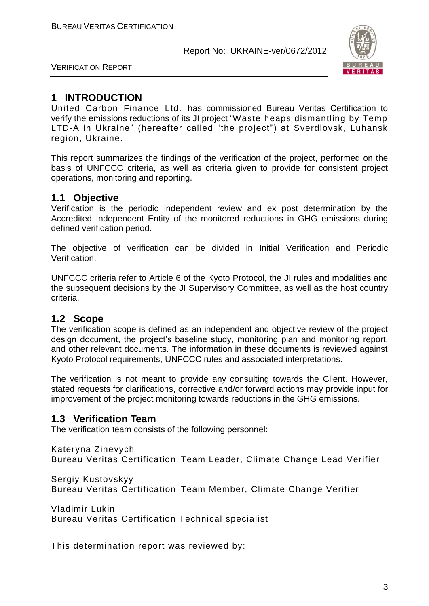

VERIFICATION REPORT

#### **1 INTRODUCTION**

United Carbon Finance Ltd. has commissioned Bureau Veritas Certification to verify the emissions reductions of its JI project "Waste heaps dismantling by Temp LTD-A in Ukraine" (hereafter called "the project") at Sverdlovsk, Luhansk region, Ukraine.

This report summarizes the findings of the verification of the project, performed on the basis of UNFCCC criteria, as well as criteria given to provide for consistent project operations, monitoring and reporting.

#### **1.1 Objective**

Verification is the periodic independent review and ex post determination by the Accredited Independent Entity of the monitored reductions in GHG emissions during defined verification period.

The objective of verification can be divided in Initial Verification and Periodic Verification.

UNFCCC criteria refer to Article 6 of the Kyoto Protocol, the JI rules and modalities and the subsequent decisions by the JI Supervisory Committee, as well as the host country criteria.

#### **1.2 Scope**

The verification scope is defined as an independent and objective review of the project design document, the project's baseline study, monitoring plan and monitoring report, and other relevant documents. The information in these documents is reviewed against Kyoto Protocol requirements, UNFCCC rules and associated interpretations.

The verification is not meant to provide any consulting towards the Client. However, stated requests for clarifications, corrective and/or forward actions may provide input for improvement of the project monitoring towards reductions in the GHG emissions.

#### **1.3 Verification Team**

The verification team consists of the following personnel:

Kateryna Zinevych

Bureau Veritas Certification Team Leader, Climate Change Lead Verifier

Sergiy Kustovskyy

Bureau Veritas Certification Team Member, Climate Change Verifier

Vladimir Lukin Bureau Veritas Certification Technical specialist

This determination report was reviewed by: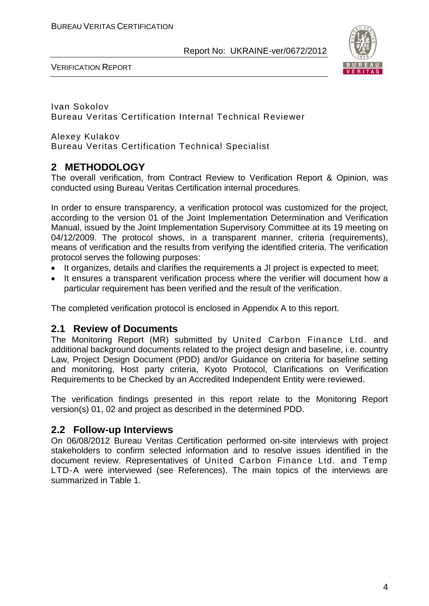

VERIFICATION REPORT

Ivan Sokolov Bureau Veritas Certification Internal Technical Reviewer

Alexey Kulakov Bureau Veritas Certification Technical Specialist

#### **2 METHODOLOGY**

The overall verification, from Contract Review to Verification Report & Opinion, was conducted using Bureau Veritas Certification internal procedures.

In order to ensure transparency, a verification protocol was customized for the project, according to the version 01 of the Joint Implementation Determination and Verification Manual, issued by the Joint Implementation Supervisory Committee at its 19 meeting on 04/12/2009. The protocol shows, in a transparent manner, criteria (requirements), means of verification and the results from verifying the identified criteria. The verification protocol serves the following purposes:

- It organizes, details and clarifies the requirements a JI project is expected to meet;
- It ensures a transparent verification process where the verifier will document how a particular requirement has been verified and the result of the verification.

The completed verification protocol is enclosed in Appendix A to this report.

#### **2.1 Review of Documents**

The Monitoring Report (MR) submitted by United Carbon Finance Ltd. and additional background documents related to the project design and baseline, i.e. country Law, Project Design Document (PDD) and/or Guidance on criteria for baseline setting and monitoring, Host party criteria, Kyoto Protocol, Clarifications on Verification Requirements to be Checked by an Accredited Independent Entity were reviewed.

The verification findings presented in this report relate to the Monitoring Report version(s) 01, 02 and project as described in the determined PDD.

#### **2.2 Follow-up Interviews**

On 06/08/2012 Bureau Veritas Certification performed on-site interviews with project stakeholders to confirm selected information and to resolve issues identified in the document review. Representatives of United Carbon Finance Ltd. and Temp LTD-A were interviewed (see References). The main topics of the interviews are summarized in Table 1.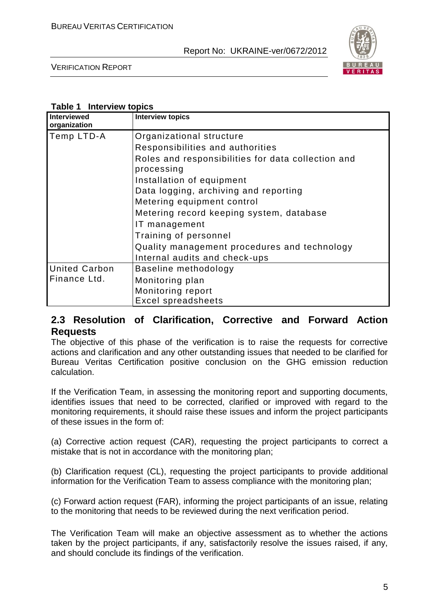

VERIFICATION REPORT

#### **Table 1 Interview topics**

| Interviewed<br>organization | <b>Interview topics</b>                                          |
|-----------------------------|------------------------------------------------------------------|
| Temp LTD-A                  | Organizational structure                                         |
|                             | Responsibilities and authorities                                 |
|                             | Roles and responsibilities for data collection and<br>processing |
|                             | Installation of equipment                                        |
|                             | Data logging, archiving and reporting                            |
|                             | Metering equipment control                                       |
|                             | Metering record keeping system, database                         |
|                             | IT management                                                    |
|                             | Training of personnel                                            |
|                             | Quality management procedures and technology                     |
|                             | Internal audits and check-ups                                    |
| <b>United Carbon</b>        | Baseline methodology                                             |
| Finance Ltd.                | Monitoring plan                                                  |
|                             | Monitoring report                                                |
|                             | <b>Excel spreadsheets</b>                                        |

#### **2.3 Resolution of Clarification, Corrective and Forward Action Requests**

The objective of this phase of the verification is to raise the requests for corrective actions and clarification and any other outstanding issues that needed to be clarified for Bureau Veritas Certification positive conclusion on the GHG emission reduction calculation.

If the Verification Team, in assessing the monitoring report and supporting documents, identifies issues that need to be corrected, clarified or improved with regard to the monitoring requirements, it should raise these issues and inform the project participants of these issues in the form of:

(a) Corrective action request (CAR), requesting the project participants to correct a mistake that is not in accordance with the monitoring plan;

(b) Clarification request (CL), requesting the project participants to provide additional information for the Verification Team to assess compliance with the monitoring plan;

(c) Forward action request (FAR), informing the project participants of an issue, relating to the monitoring that needs to be reviewed during the next verification period.

The Verification Team will make an objective assessment as to whether the actions taken by the project participants, if any, satisfactorily resolve the issues raised, if any, and should conclude its findings of the verification.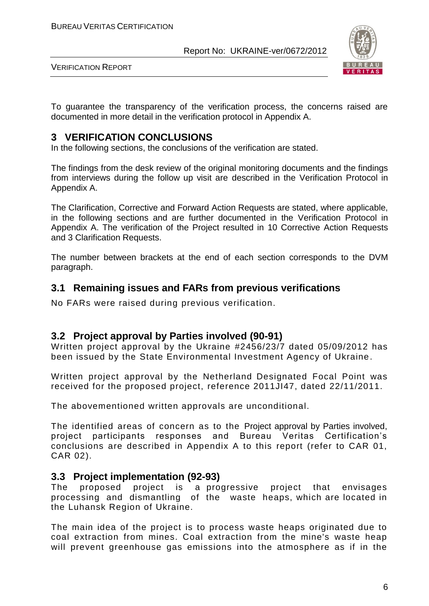

VERIFICATION REPORT

To guarantee the transparency of the verification process, the concerns raised are documented in more detail in the verification protocol in Appendix A.

#### **3 VERIFICATION CONCLUSIONS**

In the following sections, the conclusions of the verification are stated.

The findings from the desk review of the original monitoring documents and the findings from interviews during the follow up visit are described in the Verification Protocol in Appendix A.

The Clarification, Corrective and Forward Action Requests are stated, where applicable, in the following sections and are further documented in the Verification Protocol in Appendix A. The verification of the Project resulted in 10 Corrective Action Requests and 3 Clarification Requests.

The number between brackets at the end of each section corresponds to the DVM paragraph.

#### **3.1 Remaining issues and FARs from previous verifications**

No FARs were raised during previous verification.

#### **3.2 Project approval by Parties involved (90-91)**

Written project approval by the Ukraine #2456/23/7 dated 05/09/2012 has been issued by the State Environmental Investment Agency of Ukraine.

Written project approval by the Netherland Designated Focal Point was received for the proposed project, reference 2011JI47, dated 22/11/2011.

The abovementioned written approvals are unconditional.

The identified areas of concern as to the Project approval by Parties involved, project participants responses and Bureau Veritas Certification's conclusions are described in Appendix A to this report (refer to CAR 01, CAR 02).

#### **3.3 Project implementation (92-93)**

The proposed project is a progressive project that envisages processing and dismantling of the waste heaps, which are located in the Luhansk Region of Ukraine.

The main idea of the project is to process waste heaps originated due to coal extraction from mines. Coal extraction from the mine's waste heap will prevent greenhouse gas emissions into the atmosphere as if in the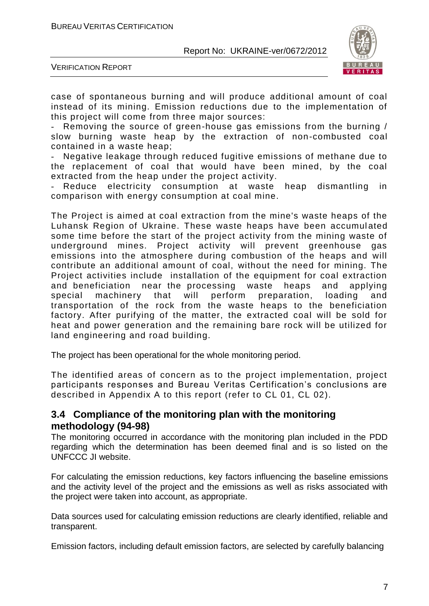

VERIFICATION REPORT

case of spontaneous burning and will produce additional amount of coal instead of its mining. Emission reductions due to the implementation of this project will come from three major sources:

Removing the source of green-house gas emissions from the burning / slow burning waste heap by the extraction of non-combusted coal contained in a waste heap;

Negative leakage through reduced fugitive emissions of methane due to the replacement of coal that would have been mined, by the coal extracted from the heap under the project activity.

Reduce electricity consumption at waste heap dismantling in comparison with energy consumption at coal mine.

The Project is aimed at coal extraction from the mine's waste heaps of the Luhansk Region of Ukraine. These waste heaps have been accumulated some time before the start of the project activity from the mining waste of underground mines. Project activity will prevent greenhouse gas emissions into the atmosphere during combustion of the heaps and will contribute an additional amount of coal, without the need for mining. The Project activities include installation of the equipment for coal extraction and beneficiation near the processing waste heaps and applying special machinery that will perform preparation, loading and transportation of the rock from the waste heaps to the beneficiation factory. After purifying of the matter, the extracted coal will be sold for heat and power generation and the remaining bare rock will be utilized for land engineering and road building.

The project has been operational for the whole monitoring period.

The identified areas of concern as to the project implementation, project participants responses and Bureau Veritas Certification's conclusions are described in Appendix A to this report (refer to CL 01, CL 02).

#### **3.4 Compliance of the monitoring plan with the monitoring methodology (94-98)**

The monitoring occurred in accordance with the monitoring plan included in the PDD regarding which the determination has been deemed final and is so listed on the UNFCCC JI website.

For calculating the emission reductions, key factors influencing the baseline emissions and the activity level of the project and the emissions as well as risks associated with the project were taken into account, as appropriate.

Data sources used for calculating emission reductions are clearly identified, reliable and transparent.

Emission factors, including default emission factors, are selected by carefully balancing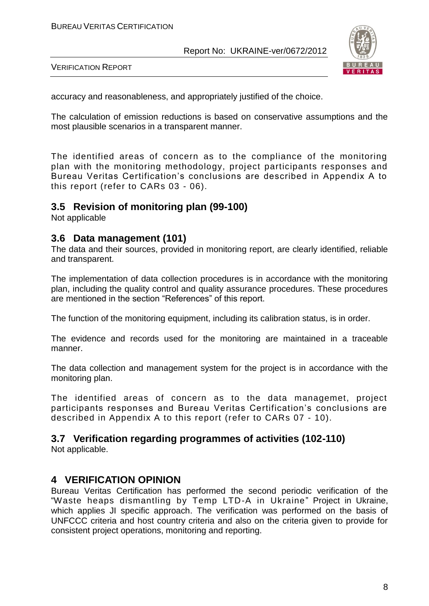

VERIFICATION REPORT

accuracy and reasonableness, and appropriately justified of the choice.

The calculation of emission reductions is based on conservative assumptions and the most plausible scenarios in a transparent manner.

The identified areas of concern as to the compliance of the monitoring plan with the monitoring methodology, project participants responses and Bureau Veritas Certification's conclusions are described in Appendix A to this report (refer to CARs 03 - 06).

#### **3.5 Revision of monitoring plan (99-100)**

Not applicable

#### **3.6 Data management (101)**

The data and their sources, provided in monitoring report, are clearly identified, reliable and transparent.

The implementation of data collection procedures is in accordance with the monitoring plan, including the quality control and quality assurance procedures. These procedures are mentioned in the section "References" of this report.

The function of the monitoring equipment, including its calibration status, is in order.

The evidence and records used for the monitoring are maintained in a traceable manner.

The data collection and management system for the project is in accordance with the monitoring plan.

The identified areas of concern as to the data managemet, project participants responses and Bureau Veritas Certification's conclusions are described in Appendix A to this report (refer to CARs 07 - 10).

#### **3.7 Verification regarding programmes of activities (102-110)**

Not applicable.

#### **4 VERIFICATION OPINION**

Bureau Veritas Certification has performed the second periodic verification of the "Waste heaps dismantling by Temp LTD-A in Ukraine" Project in Ukraine, which applies JI specific approach. The verification was performed on the basis of UNFCCC criteria and host country criteria and also on the criteria given to provide for consistent project operations, monitoring and reporting.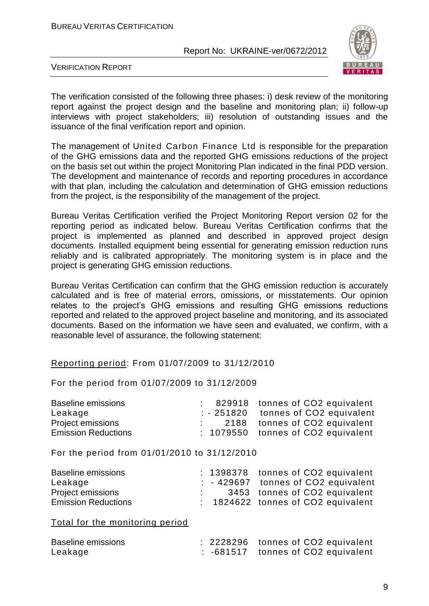

VERIFICATION REPORT

The verification consisted of the following three phases: i) desk review of the monitoring report against the project design and the baseline and monitoring plan; ii) follow-up interviews with project stakeholders; iii) resolution of outstanding issues and the issuance of the final verification report and opinion.

The management of United Carbon Finance Ltd is responsible for the preparation of the GHG emissions data and the reported GHG emissions reductions of the project on the basis set out within the project Monitoring Plan indicated in the final PDD version. The development and maintenance of records and reporting procedures in accordance with that plan, including the calculation and determination of GHG emission reductions from the project, is the responsibility of the management of the project.

Bureau Veritas Certification verified the Project Monitoring Report version 02 for the reporting period as indicated below. Bureau Veritas Certification confirms that the project is implemented as planned and described in approved project design documents. Installed equipment being essential for generating emission reduction runs reliably and is calibrated appropriately. The monitoring system is in place and the project is generating GHG emission reductions.

Bureau Veritas Certification can confirm that the GHG emission reduction is accurately calculated and is free of material errors, omissions, or misstatements. Our opinion relates to the project's GHG emissions and resulting GHG emissions reductions reported and related to the approved project baseline and monitoring, and its associated documents. Based on the information we have seen and evaluated, we confirm, with a reasonable level of assurance, the following statement:

#### Reporting period: From 01/07/2009 to 31/12/2010

For the period from 01/07/2009 to 31/12/2009

|  | : 829918 tonnes of CO2 equivalent    |
|--|--------------------------------------|
|  | $: -251820$ tonnes of CO2 equivalent |
|  | 2188 tonnes of CO2 equivalent        |
|  | : 1079550 tonnes of CO2 equivalent   |
|  |                                      |

For the period from 01/01/2010 to 31/12/2010

| <b>Baseline emissions</b>  |  | : 1398378 tonnes of CO2 equivalent   |
|----------------------------|--|--------------------------------------|
| Leakage                    |  | $: -429697$ tonnes of CO2 equivalent |
| <b>Project emissions</b>   |  | 3453 tonnes of CO2 equivalent        |
| <b>Emission Reductions</b> |  | $: 1824622$ tonnes of CO2 equivalent |

Total for the monitoring period

| Baseline emissions |  | : 2228296 tonnes of CO2 equivalent            |
|--------------------|--|-----------------------------------------------|
| Leakage            |  | $\therefore$ -681517 tonnes of CO2 equivalent |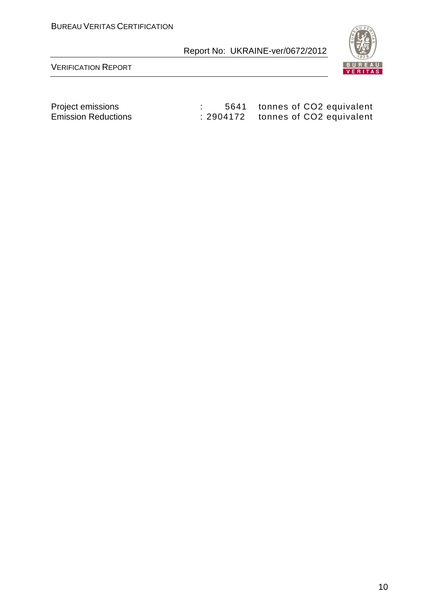

VERIFICATION REPORT

Project emissions : 5641 tonnes of CO2 equivalent Emission Reductions : 2904172 tonnes of CO2 equivalent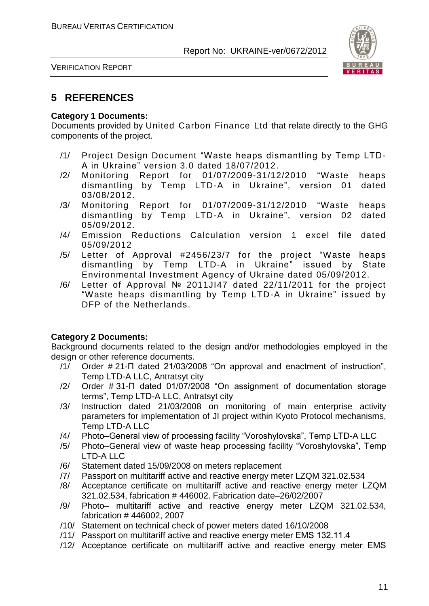

VERIFICATION REPORT

#### **5 REFERENCES**

#### **Category 1 Documents:**

Documents provided by United Carbon Finance Ltd that relate directly to the GHG components of the project.

- /1/ Project Design Document "Waste heaps dismantling by Temp LTD-A in Ukraine" version 3.0 dated 18/07/2012.
- /2/ Monitoring Report for 01/07/2009-31/12/2010 "Waste heaps dismantling by Temp LTD-A in Ukraine", version 01 dated 03/08/2012.
- /3/ Monitoring Report for 01/07/2009-31/12/2010 "Waste heaps dismantling by Temp LTD-A in Ukraine", version 02 dated 05/09/2012.
- /4/ Emission Reductions Calculation version 1 excel file dated 05/09/2012
- /5/ Letter of Approval #2456/23/7 for the project "Waste heaps dismantling by Temp LTD-A in Ukraine" issued by State Environmental Investment Agency of Ukraine dated 05/09/2012.
- /6/ Letter of Approval № 2011JI47 dated 22/11/2011 for the project "Waste heaps dismantling by Temp LTD-A in Ukraine" issued by DFP of the Netherlands.

#### **Category 2 Documents:**

Background documents related to the design and/or methodologies employed in the design or other reference documents.

- /1/ Order # 21-П dated 21/03/2008 "On approval and enactment of instruction", Temp LTD-A LLC, Antratsyt city
- /2/ Order # 31-П dated 01/07/2008 "On assignment of documentation storage terms", Temp LTD-A LLC, Antratsyt city
- /3/ Instruction dated 21/03/2008 on monitoring of main enterprise activity parameters for implementation of JI project within Kyoto Protocol mechanisms, Temp LTD-A LLC
- /4/ Photo–General view of processing facility "Voroshylovska", Temp LTD-A LLC
- /5/ Photo–General view of waste heap processing facility "Voroshylovska", Temp LTD-A LLC
- /6/ Statement dated 15/09/2008 on meters replacement
- /7/ Passport on multitariff active and reactive energy meter LZQM 321.02.534
- /8/ Acceptance certificate on multitariff active and reactive energy meter LZQM 321.02.534, fabrication # 446002. Fabrication date–26/02/2007
- /9/ Photo– multitariff active and reactive energy meter LZQM 321.02.534, fabrication # 446002, 2007
- /10/ Statement on technical check of power meters dated 16/10/2008
- /11/ Passport on multitariff active and reactive energy meter ЕМS 132.11.4
- /12/ Acceptance certificate on multitariff active and reactive energy meter ЕМS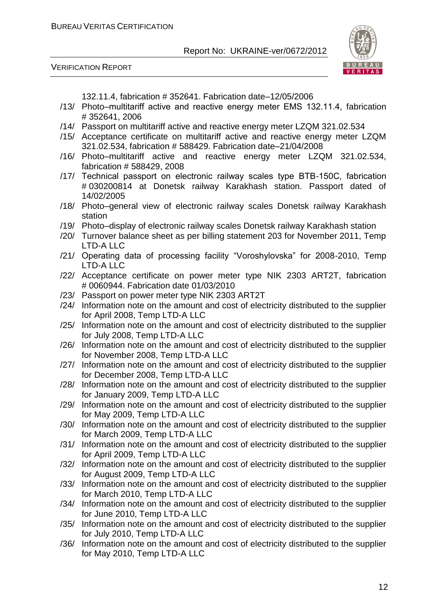VERIFICATION REPORT



132.11.4, fabrication # 352641. Fabrication date–12/05/2006

- /13/ Photo–multitariff active and reactive energy meter ЕМS 132.11.4, fabrication # 352641, 2006
- /14/ Passport on multitariff active and reactive energy meter LZQM 321.02.534
- /15/ Acceptance certificate on multitariff active and reactive energy meter LZQM 321.02.534, fabrication # 588429. Fabrication date–21/04/2008
- /16/ Photo–multitariff active and reactive energy meter LZQM 321.02.534, fabrication # 588429, 2008
- /17/ Technical passport on electronic railway scales type ВТВ-150С, fabrication # 030200814 at Donetsk railway Karakhash station. Passport dated of 14/02/2005
- /18/ Photo–general view of electronic railway scales Donetsk railway Karakhash station
- /19/ Photo–display of electronic railway scales Donetsk railway Karakhash station
- /20/ Turnover balance sheet as per billing statement 203 for November 2011, Temp LTD-A LLC
- /21/ Operating data of processing facility "Voroshylovska" for 2008-2010, Temp LTD-A LLC
- /22/ Acceptance certificate on power meter type NIK 2303 ART2T, fabrication # 0060944. Fabrication date 01/03/2010
- /23/ Passport on power meter type NIK 2303 ART2T
- /24/ Information note on the amount and cost of electricity distributed to the supplier for April 2008, Temp LTD-A LLC
- /25/ Information note on the amount and cost of electricity distributed to the supplier for July 2008, Temp LTD-A LLC
- /26/ Information note on the amount and cost of electricity distributed to the supplier for November 2008, Temp LTD-A LLC
- /27/ Information note on the amount and cost of electricity distributed to the supplier for December 2008, Temp LTD-A LLC
- /28/ Information note on the amount and cost of electricity distributed to the supplier for January 2009, Temp LTD-A LLC
- /29/ Information note on the amount and cost of electricity distributed to the supplier for May 2009, Temp LTD-A LLC
- /30/ Information note on the amount and cost of electricity distributed to the supplier for March 2009, Temp LTD-A LLC
- /31/ Information note on the amount and cost of electricity distributed to the supplier for April 2009, Temp LTD-A LLC
- /32/ Information note on the amount and cost of electricity distributed to the supplier for August 2009, Temp LTD-A LLC
- /33/ Information note on the amount and cost of electricity distributed to the supplier for March 2010, Temp LTD-A LLC
- /34/ Information note on the amount and cost of electricity distributed to the supplier for June 2010, Temp LTD-A LLC
- /35/ Information note on the amount and cost of electricity distributed to the supplier for July 2010, Temp LTD-A LLC
- /36/ Information note on the amount and cost of electricity distributed to the supplier for May 2010, Temp LTD-A LLC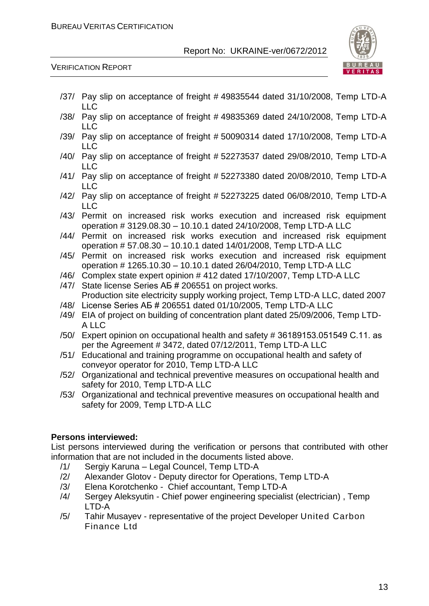

VERIFICATION REPORT

- /37/ Pay slip on acceptance of freight # 49835544 dated 31/10/2008, Temp LTD-A LLC
- /38/ Pay slip on acceptance of freight # 49835369 dated 24/10/2008, Temp LTD-A LLC
- /39/ Pay slip on acceptance of freight # 50090314 dated 17/10/2008, Temp LTD-A LLC
- /40/ Pay slip on acceptance of freight # 52273537 dated 29/08/2010, Temp LTD-A LLC
- /41/ Pay slip on acceptance of freight # 52273380 dated 20/08/2010, Temp LTD-A LLC
- /42/ Pay slip on acceptance of freight # 52273225 dated 06/08/2010, Temp LTD-A LLC
- /43/ Permit on increased risk works execution and increased risk equipment operation # 3129.08.30 – 10.10.1 dated 24/10/2008, Temp LTD-A LLC
- /44/ Permit on increased risk works execution and increased risk equipment operation # 57.08.30 – 10.10.1 dated 14/01/2008, Temp LTD-A LLC
- /45/ Permit on increased risk works execution and increased risk equipment operation # 1265.10.30 – 10.10.1 dated 26/04/2010, Temp LTD-A LLC
- /46/ Complex state expert opinion # 412 dated 17/10/2007, Temp LTD-A LLC
- /47/ State license Series АБ # 206551 on project works. Production site electricity supply working project, Temp LTD-A LLC, dated 2007
- /48/ License Series АБ # 206551 dated 01/10/2005, Temp LTD-A LLC
- /49/ EIA of project on building of concentration plant dated 25/09/2006, Temp LTD-A LLC
- /50/ Expert opinion on occupational health and safety # 36189153.051549 С.11. as per the Agreement # 3472, dated 07/12/2011, Temp LTD-A LLC
- /51/ Educational and training programme on occupational health and safety of conveyor operator for 2010, Temp LTD-A LLC
- /52/ Organizational and technical preventive measures on occupational health and safety for 2010, Temp LTD-A LLC
- /53/ Organizational and technical preventive measures on occupational health and safety for 2009, Temp LTD-A LLC

#### **Persons interviewed:**

List persons interviewed during the verification or persons that contributed with other information that are not included in the documents listed above.

- /1/ Sergiy Karuna Legal Councel, Temp LTD-A
- /2/ Alexander Glotov Deputy director for Operations, Temp LTD-A
- /3/ Elena Korotchenko Chief accountant, Temp LTD-A
- /4/ Sergey Aleksyutin Chief power engineering specialist (electrician) , Temp LTD-A
- /5/ Tahir Musayev representative of the project Developer United Carbon Finance Ltd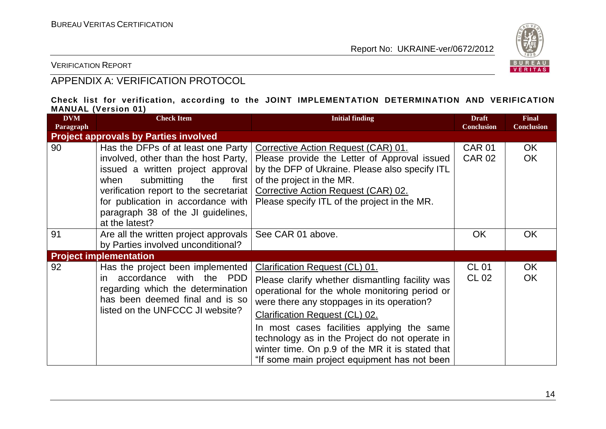

VERIFICATION REPORT

#### APPENDIX A: VERIFICATION PROTOCOL

#### **Check list for verification, according to the JOINT IMPLEMENTATION DETERMINATION AND VERIFICATION MANUAL (Version 01)**

| <b>DVM</b><br>Paragraph | <b>Check Item</b>                                                                                                                                                                                                                                                                               | <b>Initial finding</b>                                                                                                                                                                                                                                                                                                                                                                                                        | <b>Draft</b><br><b>Conclusion</b> | <b>Final</b><br><b>Conclusion</b> |
|-------------------------|-------------------------------------------------------------------------------------------------------------------------------------------------------------------------------------------------------------------------------------------------------------------------------------------------|-------------------------------------------------------------------------------------------------------------------------------------------------------------------------------------------------------------------------------------------------------------------------------------------------------------------------------------------------------------------------------------------------------------------------------|-----------------------------------|-----------------------------------|
|                         | <b>Project approvals by Parties involved</b>                                                                                                                                                                                                                                                    |                                                                                                                                                                                                                                                                                                                                                                                                                               |                                   |                                   |
| 90                      | Has the DFPs of at least one Party<br>involved, other than the host Party,<br>issued a written project approval<br>submitting<br>when<br>the<br>first  <br>verification report to the secretariat<br>for publication in accordance with<br>paragraph 38 of the JI guidelines,<br>at the latest? | Corrective Action Request (CAR) 01.<br>Please provide the Letter of Approval issued<br>by the DFP of Ukraine. Please also specify ITL<br>of the project in the MR.<br>Corrective Action Request (CAR) 02.<br>Please specify ITL of the project in the MR.                                                                                                                                                                     | <b>CAR 01</b><br><b>CAR 02</b>    | OK.<br><b>OK</b>                  |
| 91                      | Are all the written project approvals<br>by Parties involved unconditional?                                                                                                                                                                                                                     | See CAR 01 above.                                                                                                                                                                                                                                                                                                                                                                                                             | <b>OK</b>                         | <b>OK</b>                         |
|                         | <b>Project implementation</b>                                                                                                                                                                                                                                                                   |                                                                                                                                                                                                                                                                                                                                                                                                                               |                                   |                                   |
| 92                      | Has the project been implemented<br>accordance with the PDD<br>in.<br>regarding which the determination<br>has been deemed final and is so<br>listed on the UNFCCC JI website?                                                                                                                  | Clarification Request (CL) 01.<br>Please clarify whether dismantling facility was<br>operational for the whole monitoring period or<br>were there any stoppages in its operation?<br><b>Clarification Request (CL) 02.</b><br>In most cases facilities applying the same<br>technology as in the Project do not operate in<br>winter time. On p.9 of the MR it is stated that<br>"If some main project equipment has not been | <b>CL 01</b><br>CL 02             | OK<br><b>OK</b>                   |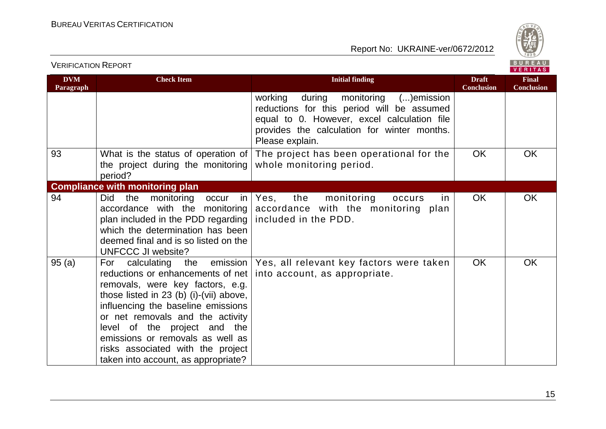

BUREAU<br>VERITAS

| <b>DVM</b><br>Paragraph | <b>Check Item</b>                                                                                                                                                                                                                                                                                                                                                                    | <b>Initial finding</b>                                                                                                                                                                                 | <b>Draft</b><br><b>Conclusion</b> | <b>Final</b><br><b>Conclusion</b> |
|-------------------------|--------------------------------------------------------------------------------------------------------------------------------------------------------------------------------------------------------------------------------------------------------------------------------------------------------------------------------------------------------------------------------------|--------------------------------------------------------------------------------------------------------------------------------------------------------------------------------------------------------|-----------------------------------|-----------------------------------|
|                         |                                                                                                                                                                                                                                                                                                                                                                                      | during monitoring ()emission<br>working<br>reductions for this period will be assumed<br>equal to 0. However, excel calculation file<br>provides the calculation for winter months.<br>Please explain. |                                   |                                   |
| 93                      | What is the status of operation of<br>the project during the monitoring<br>period?                                                                                                                                                                                                                                                                                                   | The project has been operational for the<br>whole monitoring period.                                                                                                                                   | <b>OK</b>                         | <b>OK</b>                         |
|                         | <b>Compliance with monitoring plan</b>                                                                                                                                                                                                                                                                                                                                               |                                                                                                                                                                                                        |                                   |                                   |
| 94                      | monitoring occur<br>Did<br>the<br>in I<br>accordance with the monitoring<br>plan included in the PDD regarding<br>which the determination has been<br>deemed final and is so listed on the<br>UNFCCC JI website?                                                                                                                                                                     | the<br>Yes,<br>monitoring<br>occurs<br>in.<br>accordance with the monitoring plan<br>included in the PDD.                                                                                              | OK                                | <b>OK</b>                         |
| 95(a)                   | the emission  <br>calculating<br>For<br>reductions or enhancements of net<br>removals, were key factors, e.g.<br>those listed in $23$ (b) (i)-(vii) above,<br>influencing the baseline emissions<br>or net removals and the activity<br>level of the project and the<br>emissions or removals as well as<br>risks associated with the project<br>taken into account, as appropriate? | Yes, all relevant key factors were taken<br>into account, as appropriate.                                                                                                                              | <b>OK</b>                         | <b>OK</b>                         |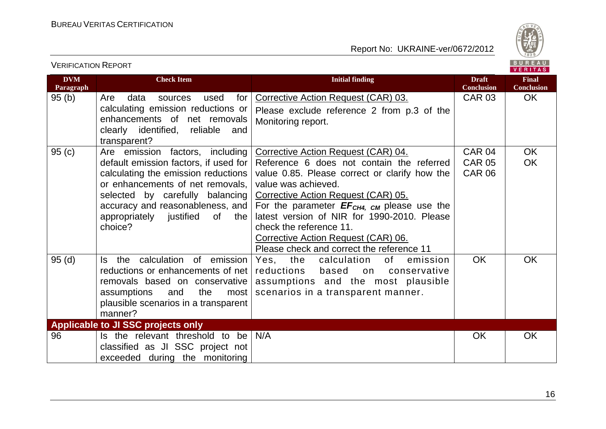

| <b>VERIFICATION REPORT</b> |                                                                                                                                                                                                                                                                            |                                                                                                                                                                                                                                                                                                                                                                                                                  |                                                 | BUREAU<br><b>VERITAS</b>          |
|----------------------------|----------------------------------------------------------------------------------------------------------------------------------------------------------------------------------------------------------------------------------------------------------------------------|------------------------------------------------------------------------------------------------------------------------------------------------------------------------------------------------------------------------------------------------------------------------------------------------------------------------------------------------------------------------------------------------------------------|-------------------------------------------------|-----------------------------------|
| <b>DVM</b><br>Paragraph    | <b>Check Item</b>                                                                                                                                                                                                                                                          | <b>Initial finding</b>                                                                                                                                                                                                                                                                                                                                                                                           | <b>Draft</b><br><b>Conclusion</b>               | <b>Final</b><br><b>Conclusion</b> |
| 95(b)                      | Are<br>for<br>data<br>used<br>sources<br>calculating emission reductions or<br>enhancements of net removals<br>clearly identified, reliable<br>and<br>transparent?                                                                                                         | Corrective Action Request (CAR) 03.<br>Please exclude reference 2 from p.3 of the<br>Monitoring report.                                                                                                                                                                                                                                                                                                          | <b>CAR 03</b>                                   | OK.                               |
| 95(c)                      | Are emission factors, including<br>default emission factors, if used for<br>calculating the emission reductions<br>or enhancements of net removals,<br>selected by carefully balancing<br>accuracy and reasonableness, and<br>appropriately justified of<br>the<br>choice? | Corrective Action Request (CAR) 04.<br>Reference 6 does not contain the referred<br>value 0.85. Please correct or clarify how the<br>value was achieved.<br>Corrective Action Request (CAR) 05.<br>For the parameter $EF_{CH4, CM}$ please use the<br>latest version of NIR for 1990-2010. Please<br>check the reference 11.<br>Corrective Action Request (CAR) 06.<br>Please check and correct the reference 11 | <b>CAR 04</b><br><b>CAR 05</b><br><b>CAR 06</b> | <b>OK</b><br><b>OK</b>            |
| 95(d)                      | the calculation of emission<br>ls l<br>reductions or enhancements of net<br>removals based on conservative<br>assumptions<br>and<br>the<br>most<br>plausible scenarios in a transparent<br>manner?                                                                         | Yes, the<br>calculation<br>of<br>emission<br>reductions<br>based<br>conservative<br>on<br>assumptions and the most plausible<br>scenarios in a transparent manner.                                                                                                                                                                                                                                               | <b>OK</b>                                       | OK                                |
|                            | Applicable to JI SSC projects only                                                                                                                                                                                                                                         |                                                                                                                                                                                                                                                                                                                                                                                                                  |                                                 |                                   |
| 96                         | Is the relevant threshold to be<br>classified as JI SSC project not<br>exceeded during the monitoring                                                                                                                                                                      | N/A                                                                                                                                                                                                                                                                                                                                                                                                              | <b>OK</b>                                       | OK                                |

16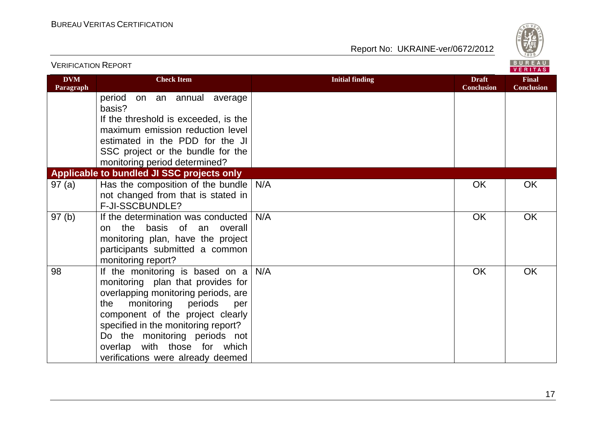

| <b>VERIFICATION REPORT</b> |                                                                    |                        |                                   | BUREAU<br><b>VERITAS</b>          |
|----------------------------|--------------------------------------------------------------------|------------------------|-----------------------------------|-----------------------------------|
| <b>DVM</b><br>Paragraph    | <b>Check Item</b>                                                  | <b>Initial finding</b> | <b>Draft</b><br><b>Conclusion</b> | <b>Final</b><br><b>Conclusion</b> |
|                            | period<br>on an annual average<br>basis?                           |                        |                                   |                                   |
|                            | If the threshold is exceeded, is the                               |                        |                                   |                                   |
|                            | maximum emission reduction level                                   |                        |                                   |                                   |
|                            | estimated in the PDD for the JI                                    |                        |                                   |                                   |
|                            | SSC project or the bundle for the<br>monitoring period determined? |                        |                                   |                                   |
|                            | Applicable to bundled JI SSC projects only                         |                        |                                   |                                   |
| 97(a)                      | Has the composition of the bundle                                  | N/A                    | <b>OK</b>                         | OK                                |
|                            | not changed from that is stated in                                 |                        |                                   |                                   |
|                            | F-JI-SSCBUNDLE?                                                    |                        |                                   |                                   |
| 97(b)                      | If the determination was conducted                                 | N/A                    | OK                                | OK                                |
|                            | the basis of an overall<br>on                                      |                        |                                   |                                   |
|                            | monitoring plan, have the project                                  |                        |                                   |                                   |
|                            | participants submitted a common                                    |                        |                                   |                                   |
|                            | monitoring report?                                                 |                        |                                   |                                   |
| 98                         | If the monitoring is based on $a \mid$                             | N/A                    | <b>OK</b>                         | OK                                |
|                            | monitoring plan that provides for                                  |                        |                                   |                                   |
|                            | overlapping monitoring periods, are                                |                        |                                   |                                   |
|                            | monitoring<br>periods<br>the<br>per                                |                        |                                   |                                   |
|                            | component of the project clearly                                   |                        |                                   |                                   |
|                            | specified in the monitoring report?                                |                        |                                   |                                   |
|                            | Do the monitoring periods not<br>overlap with those for which      |                        |                                   |                                   |
|                            | verifications were already deemed                                  |                        |                                   |                                   |
|                            |                                                                    |                        |                                   |                                   |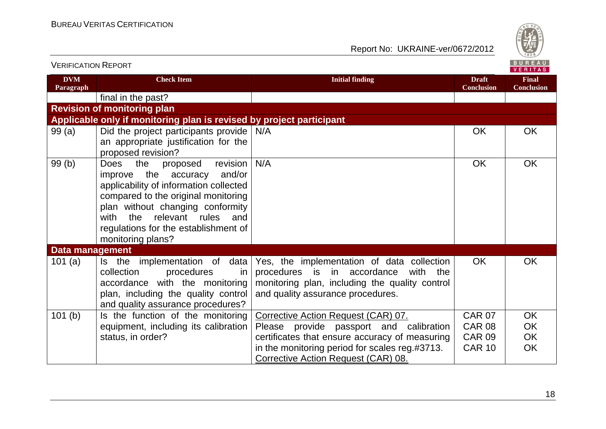

| <u>V LINII IUATIUIV INLE UN I</u> |                                                                                                                                                                                                                                                                                                        |                                                                                                                                                                                 |                                   | VERITAS                           |
|-----------------------------------|--------------------------------------------------------------------------------------------------------------------------------------------------------------------------------------------------------------------------------------------------------------------------------------------------------|---------------------------------------------------------------------------------------------------------------------------------------------------------------------------------|-----------------------------------|-----------------------------------|
| <b>DVM</b><br>Paragraph           | <b>Check Item</b>                                                                                                                                                                                                                                                                                      | <b>Initial finding</b>                                                                                                                                                          | <b>Draft</b><br><b>Conclusion</b> | <b>Final</b><br><b>Conclusion</b> |
|                                   | final in the past?                                                                                                                                                                                                                                                                                     |                                                                                                                                                                                 |                                   |                                   |
|                                   | <b>Revision of monitoring plan</b>                                                                                                                                                                                                                                                                     |                                                                                                                                                                                 |                                   |                                   |
|                                   | Applicable only if monitoring plan is revised by project participant                                                                                                                                                                                                                                   |                                                                                                                                                                                 |                                   |                                   |
| 99(a)                             | Did the project participants provide<br>an appropriate justification for the<br>proposed revision?                                                                                                                                                                                                     | N/A                                                                                                                                                                             | <b>OK</b>                         | <b>OK</b>                         |
| 99(b)                             | the<br>revision<br><b>Does</b><br>proposed<br>improve the accuracy<br>and/or<br>applicability of information collected<br>compared to the original monitoring<br>plan without changing conformity<br>relevant rules<br>with<br>the<br>and<br>regulations for the establishment of<br>monitoring plans? | N/A                                                                                                                                                                             | <b>OK</b>                         | <b>OK</b>                         |
| Data management                   |                                                                                                                                                                                                                                                                                                        |                                                                                                                                                                                 |                                   |                                   |
| 101(a)                            | Is the implementation of data<br>collection<br>procedures<br>in.<br>accordance with the monitoring<br>plan, including the quality control<br>and quality assurance procedures?                                                                                                                         | Yes, the implementation of data collection<br>procedures is in accordance<br>with<br>the<br>monitoring plan, including the quality control<br>and quality assurance procedures. | <b>OK</b>                         | <b>OK</b>                         |
| 101(b)                            | Is the function of the monitoring                                                                                                                                                                                                                                                                      | Corrective Action Request (CAR) 07.                                                                                                                                             | <b>CAR 07</b>                     | <b>OK</b>                         |
|                                   | equipment, including its calibration                                                                                                                                                                                                                                                                   | Please provide passport and calibration                                                                                                                                         | <b>CAR 08</b>                     | OK                                |
|                                   | status, in order?                                                                                                                                                                                                                                                                                      | certificates that ensure accuracy of measuring                                                                                                                                  | <b>CAR 09</b>                     | OK                                |
|                                   |                                                                                                                                                                                                                                                                                                        | in the monitoring period for scales reg.#3713.<br>Corrective Action Request (CAR) 08.                                                                                           | <b>CAR 10</b>                     | <b>OK</b>                         |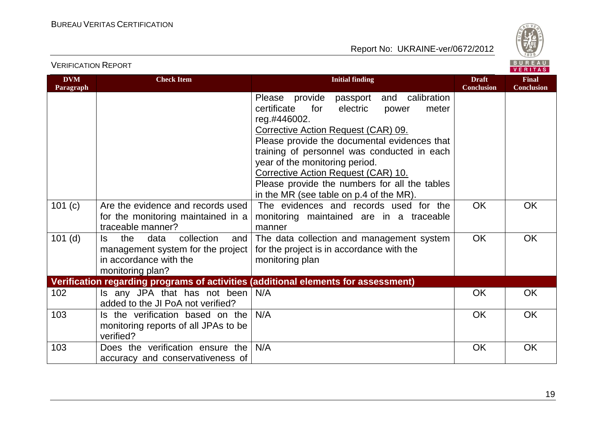

VERIFICATION REPORT

| <b>DVM</b><br>Paragraph | <b>Check Item</b>                                                                                                          | <b>Initial finding</b>                                                                                                                                                                                                                                                                                                                                                                                                              | <b>Draft</b><br><b>Conclusion</b> | <b>Final</b><br><b>Conclusion</b> |
|-------------------------|----------------------------------------------------------------------------------------------------------------------------|-------------------------------------------------------------------------------------------------------------------------------------------------------------------------------------------------------------------------------------------------------------------------------------------------------------------------------------------------------------------------------------------------------------------------------------|-----------------------------------|-----------------------------------|
|                         |                                                                                                                            | Please provide<br>and calibration<br>passport<br>certificate<br>for<br>electric<br>meter<br>power<br>reg.#446002.<br><b>Corrective Action Request (CAR) 09.</b><br>Please provide the documental evidences that<br>training of personnel was conducted in each<br>year of the monitoring period.<br>Corrective Action Request (CAR) 10.<br>Please provide the numbers for all the tables<br>in the MR (see table on p.4 of the MR). |                                   |                                   |
| 101(c)                  | Are the evidence and records used<br>for the monitoring maintained in a<br>traceable manner?                               | The evidences and records used for the<br>monitoring maintained are in a traceable<br>manner                                                                                                                                                                                                                                                                                                                                        | <b>OK</b>                         | OK                                |
| $101$ (d)               | the<br>data<br>collection<br>and<br>ls.<br>management system for the project<br>in accordance with the<br>monitoring plan? | The data collection and management system<br>for the project is in accordance with the<br>monitoring plan                                                                                                                                                                                                                                                                                                                           | <b>OK</b>                         | <b>OK</b>                         |
|                         |                                                                                                                            | Verification regarding programs of activities (additional elements for assessment)                                                                                                                                                                                                                                                                                                                                                  |                                   |                                   |
| 102                     | Is any JPA that has not been<br>added to the JI PoA not verified?                                                          | N/A                                                                                                                                                                                                                                                                                                                                                                                                                                 | <b>OK</b>                         | <b>OK</b>                         |
| 103                     | Is the verification based on the<br>monitoring reports of all JPAs to be<br>verified?                                      | N/A                                                                                                                                                                                                                                                                                                                                                                                                                                 | <b>OK</b>                         | <b>OK</b>                         |
| 103                     | Does the verification ensure the<br>accuracy and conservativeness of                                                       | N/A                                                                                                                                                                                                                                                                                                                                                                                                                                 | <b>OK</b>                         | OK                                |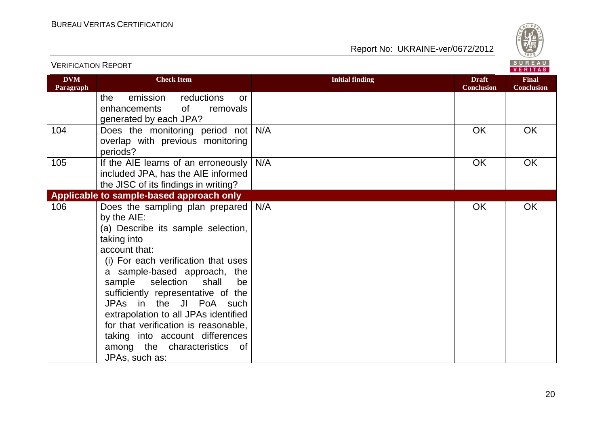VERIFICATION REPORT



| <b>DVM</b><br>Paragraph | <b>Check Item</b>                                                                                                                                                                                                                                                                                                                                                                                                                                                             | <b>Initial finding</b> | <b>Draft</b><br><b>Conclusion</b> | <b>Final</b><br><b>Conclusion</b> |
|-------------------------|-------------------------------------------------------------------------------------------------------------------------------------------------------------------------------------------------------------------------------------------------------------------------------------------------------------------------------------------------------------------------------------------------------------------------------------------------------------------------------|------------------------|-----------------------------------|-----------------------------------|
|                         | emission<br>reductions<br>the<br><b>or</b><br>0f<br>enhancements<br>removals<br>generated by each JPA?                                                                                                                                                                                                                                                                                                                                                                        |                        |                                   |                                   |
| 104                     | Does the monitoring period not<br>overlap with previous monitoring<br>periods?                                                                                                                                                                                                                                                                                                                                                                                                | N/A                    | <b>OK</b>                         | <b>OK</b>                         |
| 105                     | If the AIE learns of an erroneously<br>included JPA, has the AIE informed<br>the JISC of its findings in writing?                                                                                                                                                                                                                                                                                                                                                             | N/A                    | <b>OK</b>                         | <b>OK</b>                         |
|                         | Applicable to sample-based approach only                                                                                                                                                                                                                                                                                                                                                                                                                                      |                        |                                   |                                   |
| 106                     | Does the sampling plan prepared   N/A<br>by the AIE:<br>(a) Describe its sample selection,<br>taking into<br>account that:<br>(i) For each verification that uses<br>a sample-based approach, the<br>sample selection<br>shall<br>be<br>sufficiently representative of the<br>JPAs in the JI PoA such<br>extrapolation to all JPAs identified<br>for that verification is reasonable,<br>taking into account differences<br>among the characteristics<br>of<br>JPAs, such as: |                        | OK                                | OK                                |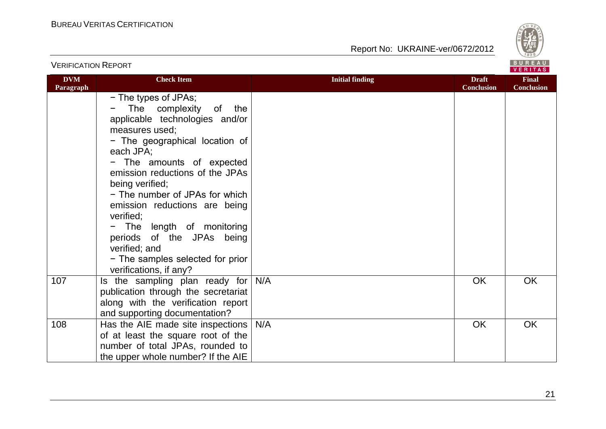

|                         |                                                                                                                                                                                                                                                                                                                                                                                                                                                                                        |                        |                                   | <b>VERIIAS</b>                    |
|-------------------------|----------------------------------------------------------------------------------------------------------------------------------------------------------------------------------------------------------------------------------------------------------------------------------------------------------------------------------------------------------------------------------------------------------------------------------------------------------------------------------------|------------------------|-----------------------------------|-----------------------------------|
| <b>DVM</b><br>Paragraph | <b>Check Item</b>                                                                                                                                                                                                                                                                                                                                                                                                                                                                      | <b>Initial finding</b> | <b>Draft</b><br><b>Conclusion</b> | <b>Final</b><br><b>Conclusion</b> |
|                         | - The types of JPAs;<br>The complexity<br>of<br>the<br>applicable technologies and/or<br>measures used;<br>- The geographical location of<br>each JPA;<br>- The amounts of expected<br>emission reductions of the JPAs<br>being verified;<br>- The number of JPAs for which<br>emission reductions are being<br>verified;<br>The length of monitoring<br>$\qquad \qquad -$<br>periods of the JPAs being<br>verified; and<br>- The samples selected for prior<br>verifications, if any? |                        |                                   |                                   |
| 107                     | Is the sampling plan ready for<br>publication through the secretariat<br>along with the verification report<br>and supporting documentation?                                                                                                                                                                                                                                                                                                                                           | N/A                    | OK                                | <b>OK</b>                         |
| 108                     | Has the AIE made site inspections<br>of at least the square root of the<br>number of total JPAs, rounded to<br>the upper whole number? If the AIE                                                                                                                                                                                                                                                                                                                                      | N/A                    | OK                                | OK                                |

#### VERIFICATION REPORT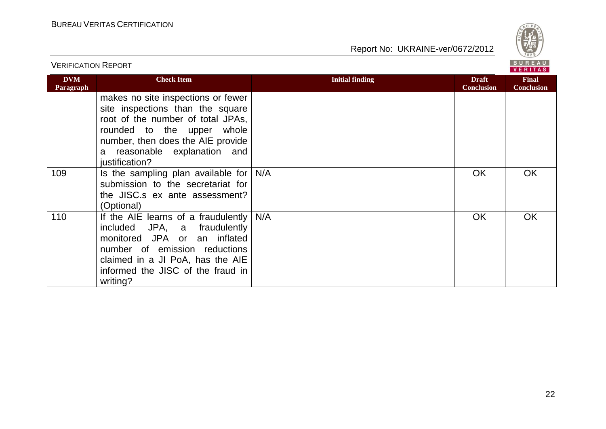

|                         |                                                                                                                                                                                                                                  |                        |                                   | <b>VERITAS</b>                    |  |
|-------------------------|----------------------------------------------------------------------------------------------------------------------------------------------------------------------------------------------------------------------------------|------------------------|-----------------------------------|-----------------------------------|--|
| <b>DVM</b><br>Paragraph | <b>Check Item</b>                                                                                                                                                                                                                | <b>Initial finding</b> | <b>Draft</b><br><b>Conclusion</b> | <b>Final</b><br><b>Conclusion</b> |  |
|                         | makes no site inspections or fewer<br>site inspections than the square<br>root of the number of total JPAs,<br>rounded to the upper whole<br>number, then does the AIE provide<br>a reasonable explanation and<br>justification? |                        |                                   |                                   |  |
| 109                     | Is the sampling plan available for $N/A$<br>submission to the secretariat for<br>the JISC.s ex ante assessment?<br>(Optional)                                                                                                    |                        | <b>OK</b>                         | OK.                               |  |
| 110                     | If the AIE learns of a fraudulently $N/A$<br>included JPA, a fraudulently<br>monitored JPA or an inflated<br>number of emission reductions<br>claimed in a JI PoA, has the AIE<br>informed the JISC of the fraud in<br>writing?  |                        | <b>OK</b>                         | <b>OK</b>                         |  |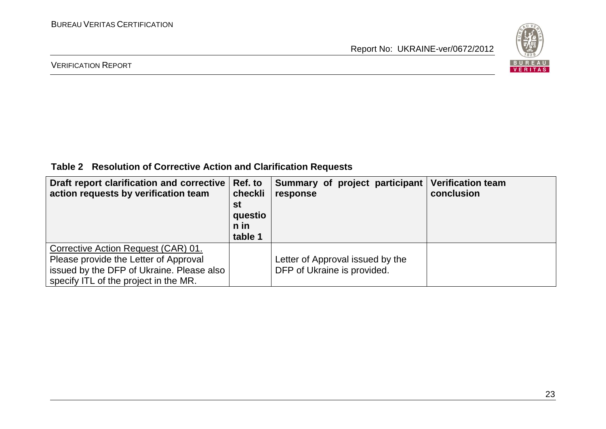

#### VERIFICATION REPORT

**Table 2 Resolution of Corrective Action and Clarification Requests**

| Draft report clarification and corrective   Ref. to<br>action requests by verification team                                                                        | checkli<br>st<br>questio<br>n in<br>table 1 | Summary of project participant<br>response                      | <b>Verification team</b><br>conclusion |
|--------------------------------------------------------------------------------------------------------------------------------------------------------------------|---------------------------------------------|-----------------------------------------------------------------|----------------------------------------|
| Corrective Action Request (CAR) 01.<br>Please provide the Letter of Approval<br>issued by the DFP of Ukraine. Please also<br>specify ITL of the project in the MR. |                                             | Letter of Approval issued by the<br>DFP of Ukraine is provided. |                                        |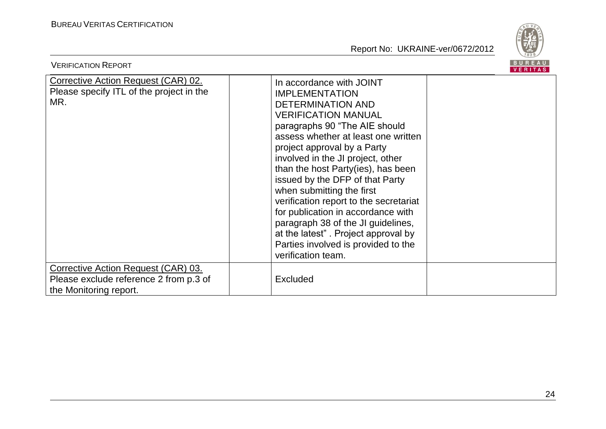

| <b>VERIFICATION REPORT</b>                                                                              |                                                                                                                                                                                                                                                                                                                                                                                                                                                                                                                                                                                         | BUREAU<br><b>VERITAS</b> |
|---------------------------------------------------------------------------------------------------------|-----------------------------------------------------------------------------------------------------------------------------------------------------------------------------------------------------------------------------------------------------------------------------------------------------------------------------------------------------------------------------------------------------------------------------------------------------------------------------------------------------------------------------------------------------------------------------------------|--------------------------|
| <b>Corrective Action Request (CAR) 02.</b><br>Please specify ITL of the project in the<br>MR.           | In accordance with JOINT<br><b>IMPLEMENTATION</b><br><b>DETERMINATION AND</b><br><b>VERIFICATION MANUAL</b><br>paragraphs 90 "The AIE should<br>assess whether at least one written<br>project approval by a Party<br>involved in the JI project, other<br>than the host Party(ies), has been<br>issued by the DFP of that Party<br>when submitting the first<br>verification report to the secretariat<br>for publication in accordance with<br>paragraph 38 of the JI guidelines,<br>at the latest". Project approval by<br>Parties involved is provided to the<br>verification team. |                          |
| Corrective Action Request (CAR) 03.<br>Please exclude reference 2 from p.3 of<br>the Monitoring report. | <b>Excluded</b>                                                                                                                                                                                                                                                                                                                                                                                                                                                                                                                                                                         |                          |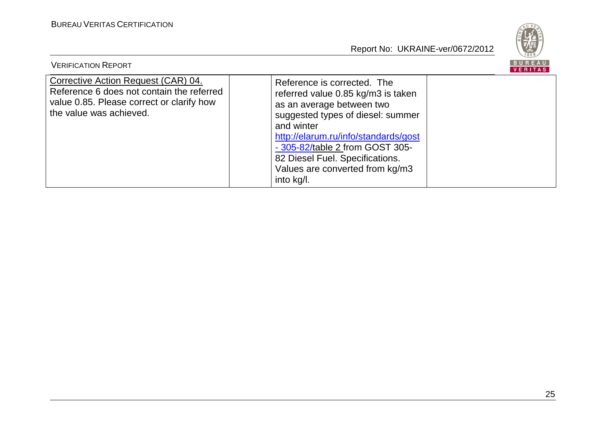

| <b>VERIFICATION REPORT</b>                                                                                                                               |                                                                                                                                                                                                                                                                                                                  | BUREAU<br>VERITAS |
|----------------------------------------------------------------------------------------------------------------------------------------------------------|------------------------------------------------------------------------------------------------------------------------------------------------------------------------------------------------------------------------------------------------------------------------------------------------------------------|-------------------|
| Corrective Action Request (CAR) 04.<br>Reference 6 does not contain the referred<br>value 0.85. Please correct or clarify how<br>the value was achieved. | Reference is corrected. The<br>referred value 0.85 kg/m3 is taken<br>as an average between two<br>suggested types of diesel: summer<br>and winter<br>http://elarum.ru/info/standards/gost<br>- 305-82/table 2 from GOST 305-<br>82 Diesel Fuel. Specifications.<br>Values are converted from kg/m3<br>into kg/l. |                   |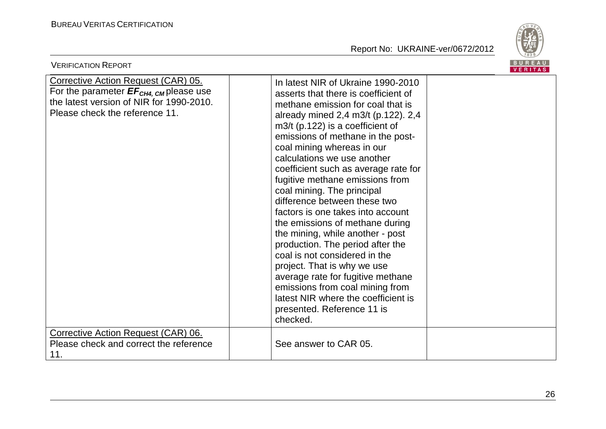

| <b>BUREAU</b><br><b>VERIFICATION REPORT</b><br>VERITAS                                                                                                                  |                                                                                                                                                                                                                                                                                                                                                                                                                                                                                                                                                                                                                                                                                                                                                                                                                  |  |  |
|-------------------------------------------------------------------------------------------------------------------------------------------------------------------------|------------------------------------------------------------------------------------------------------------------------------------------------------------------------------------------------------------------------------------------------------------------------------------------------------------------------------------------------------------------------------------------------------------------------------------------------------------------------------------------------------------------------------------------------------------------------------------------------------------------------------------------------------------------------------------------------------------------------------------------------------------------------------------------------------------------|--|--|
| Corrective Action Request (CAR) 05.<br>For the parameter $EF_{CH4, \text{CM}}$ please use<br>the latest version of NIR for 1990-2010.<br>Please check the reference 11. | In latest NIR of Ukraine 1990-2010<br>asserts that there is coefficient of<br>methane emission for coal that is<br>already mined 2,4 m3/t (p.122). 2,4<br>$m3/t$ (p.122) is a coefficient of<br>emissions of methane in the post-<br>coal mining whereas in our<br>calculations we use another<br>coefficient such as average rate for<br>fugitive methane emissions from<br>coal mining. The principal<br>difference between these two<br>factors is one takes into account<br>the emissions of methane during<br>the mining, while another - post<br>production. The period after the<br>coal is not considered in the<br>project. That is why we use<br>average rate for fugitive methane<br>emissions from coal mining from<br>latest NIR where the coefficient is<br>presented. Reference 11 is<br>checked. |  |  |
| Corrective Action Request (CAR) 06.<br>Please check and correct the reference<br>11.                                                                                    | See answer to CAR 05.                                                                                                                                                                                                                                                                                                                                                                                                                                                                                                                                                                                                                                                                                                                                                                                            |  |  |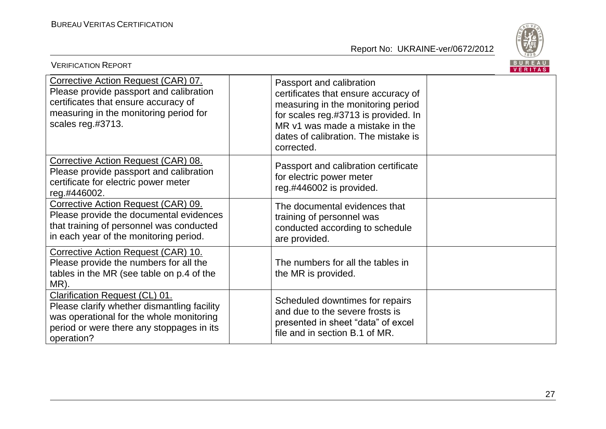

| <b>VERIFICATION REPORT</b>                                                                                                                                                                  |                                                                                                                                                                                                                                         | <b>BUREAU</b><br>VERITAS |
|---------------------------------------------------------------------------------------------------------------------------------------------------------------------------------------------|-----------------------------------------------------------------------------------------------------------------------------------------------------------------------------------------------------------------------------------------|--------------------------|
| Corrective Action Request (CAR) 07.<br>Please provide passport and calibration<br>certificates that ensure accuracy of<br>measuring in the monitoring period for<br>scales reg.#3713.       | Passport and calibration<br>certificates that ensure accuracy of<br>measuring in the monitoring period<br>for scales reg.#3713 is provided. In<br>MR v1 was made a mistake in the<br>dates of calibration. The mistake is<br>corrected. |                          |
| Corrective Action Request (CAR) 08.<br>Please provide passport and calibration<br>certificate for electric power meter<br>reg.#446002.                                                      | Passport and calibration certificate<br>for electric power meter<br>reg.#446002 is provided.                                                                                                                                            |                          |
| Corrective Action Request (CAR) 09.<br>Please provide the documental evidences<br>that training of personnel was conducted<br>in each year of the monitoring period.                        | The documental evidences that<br>training of personnel was<br>conducted according to schedule<br>are provided.                                                                                                                          |                          |
| Corrective Action Request (CAR) 10.<br>Please provide the numbers for all the<br>tables in the MR (see table on p.4 of the<br>MR).                                                          | The numbers for all the tables in<br>the MR is provided.                                                                                                                                                                                |                          |
| <b>Clarification Request (CL) 01.</b><br>Please clarify whether dismantling facility<br>was operational for the whole monitoring<br>period or were there any stoppages in its<br>operation? | Scheduled downtimes for repairs<br>and due to the severe frosts is<br>presented in sheet "data" of excel<br>file and in section B.1 of MR.                                                                                              |                          |